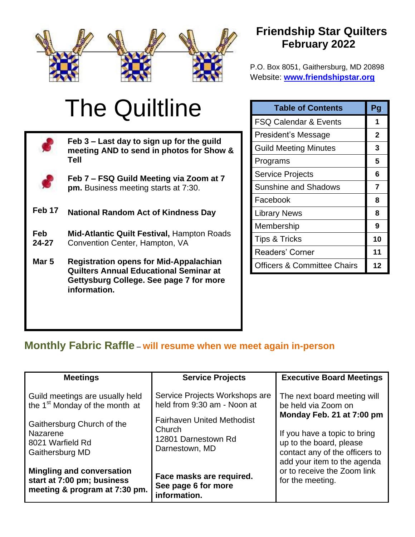

## **Friendship Star Quilters February 2022**

P.O. Box 8051, Gaithersburg, MD 20898 Website: **[www.friendshipstar.org](http://www.friendshipstar.org/)**

FSQ Calendar & Events **1**

**Table of Contents Pg**.

# The Quiltline

|              | Feb 3 – Last day to sign up for the guild<br>meeting AND to send in photos for Show &          |  | President's Message                    | $\mathbf{2}$ |
|--------------|------------------------------------------------------------------------------------------------|--|----------------------------------------|--------------|
|              |                                                                                                |  | <b>Guild Meeting Minutes</b>           | 3            |
|              | Tell                                                                                           |  | Programs                               | 5            |
|              | Feb 7 - FSQ Guild Meeting via Zoom at 7<br>pm. Business meeting starts at 7:30.                |  | <b>Service Projects</b>                | 6            |
|              |                                                                                                |  | <b>Sunshine and Shadows</b>            |              |
|              |                                                                                                |  | Facebook                               | 8            |
| Feb 17       | <b>National Random Act of Kindness Day</b>                                                     |  | <b>Library News</b>                    | 8            |
| Feb<br>24-27 | Mid-Atlantic Quilt Festival, Hampton Roads<br>Convention Center, Hampton, VA                   |  | Membership                             | 9            |
|              |                                                                                                |  | <b>Tips &amp; Tricks</b>               | 10           |
|              |                                                                                                |  | Readers' Corner                        | 11           |
| Mar 5        | <b>Registration opens for Mid-Appalachian</b><br><b>Quilters Annual Educational Seminar at</b> |  | <b>Officers &amp; Committee Chairs</b> | 12           |
|              | Gettysburg College. See page 7 for more<br>information.                                        |  |                                        |              |

## **Monthly Fabric Raffle** – **will resume when we meet again in-person**

| <b>Meetings</b>                                                                                                         | <b>Service Projects</b>                                                                                                             | <b>Executive Board Meetings</b>                                                                                                                                                                             |  |
|-------------------------------------------------------------------------------------------------------------------------|-------------------------------------------------------------------------------------------------------------------------------------|-------------------------------------------------------------------------------------------------------------------------------------------------------------------------------------------------------------|--|
| Guild meetings are usually held<br>the 1 <sup>st</sup> Monday of the month at<br>Gaithersburg Church of the<br>Nazarene | Service Projects Workshops are<br>held from 9:30 am - Noon at<br><b>Fairhaven United Methodist</b><br>Church<br>12801 Darnestown Rd | The next board meeting will<br>be held via Zoom on<br>Monday Feb. 21 at 7:00 pm<br>If you have a topic to bring<br>up to the board, please<br>contact any of the officers to<br>add your item to the agenda |  |
| 8021 Warfield Rd<br>Gaithersburg MD                                                                                     | Darnestown, MD                                                                                                                      |                                                                                                                                                                                                             |  |
| <b>Mingling and conversation</b><br>start at 7:00 pm; business<br>meeting & program at 7:30 pm.                         | Face masks are required.<br>See page 6 for more<br>information.                                                                     | or to receive the Zoom link<br>for the meeting.                                                                                                                                                             |  |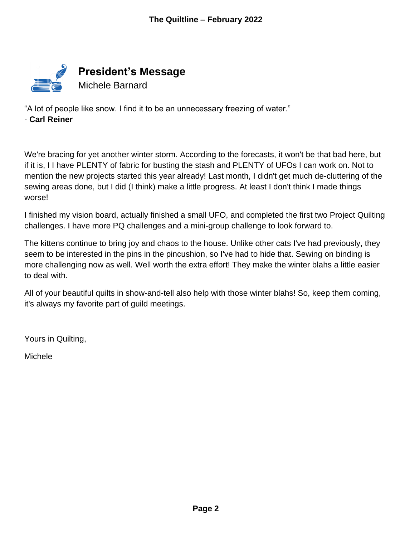

"A lot of people like snow. I find it to be an unnecessary freezing of water."

- **Carl Reiner**

We're bracing for yet another winter storm. According to the forecasts, it won't be that bad here, but if it is, I I have PLENTY of fabric for busting the stash and PLENTY of UFOs I can work on. Not to mention the new projects started this year already! Last month, I didn't get much de-cluttering of the sewing areas done, but I did (I think) make a little progress. At least I don't think I made things worse!

I finished my vision board, actually finished a small UFO, and completed the first two Project Quilting challenges. I have more PQ challenges and a mini-group challenge to look forward to.

The kittens continue to bring joy and chaos to the house. Unlike other cats I've had previously, they seem to be interested in the pins in the pincushion, so I've had to hide that. Sewing on binding is more challenging now as well. Well worth the extra effort! They make the winter blahs a little easier to deal with.

All of your beautiful quilts in show-and-tell also help with those winter blahs! So, keep them coming, it's always my favorite part of guild meetings.

Yours in Quilting,

Michele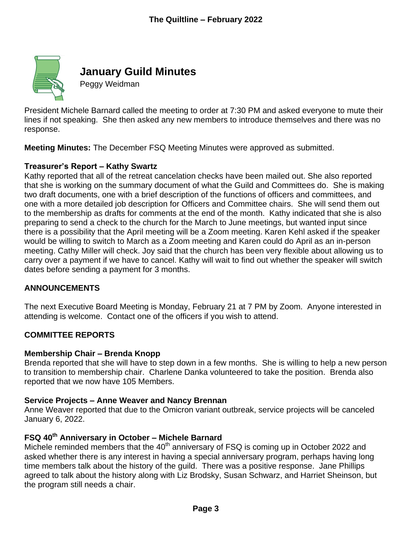

## **January Guild Minutes**

Peggy Weidman

President Michele Barnard called the meeting to order at 7:30 PM and asked everyone to mute their lines if not speaking. She then asked any new members to introduce themselves and there was no response.

**Meeting Minutes:** The December FSQ Meeting Minutes were approved as submitted.

#### **Treasurer's Report – Kathy Swartz**

Kathy reported that all of the retreat cancelation checks have been mailed out. She also reported that she is working on the summary document of what the Guild and Committees do. She is making two draft documents, one with a brief description of the functions of officers and committees, and one with a more detailed job description for Officers and Committee chairs. She will send them out to the membership as drafts for comments at the end of the month. Kathy indicated that she is also preparing to send a check to the church for the March to June meetings, but wanted input since there is a possibility that the April meeting will be a Zoom meeting. Karen Kehl asked if the speaker would be willing to switch to March as a Zoom meeting and Karen could do April as an in-person meeting. Cathy Miller will check. Joy said that the church has been very flexible about allowing us to carry over a payment if we have to cancel. Kathy will wait to find out whether the speaker will switch dates before sending a payment for 3 months.

#### **ANNOUNCEMENTS**

The next Executive Board Meeting is Monday, February 21 at 7 PM by Zoom. Anyone interested in attending is welcome. Contact one of the officers if you wish to attend.

#### **COMMITTEE REPORTS**

#### **Membership Chair – Brenda Knopp**

Brenda reported that she will have to step down in a few months. She is willing to help a new person to transition to membership chair. Charlene Danka volunteered to take the position. Brenda also reported that we now have 105 Members.

#### **Service Projects – Anne Weaver and Nancy Brennan**

Anne Weaver reported that due to the Omicron variant outbreak, service projects will be canceled January 6, 2022.

## **FSQ 40th Anniversary in October – Michele Barnard**

Michele reminded members that the 40<sup>th</sup> anniversary of FSQ is coming up in October 2022 and asked whether there is any interest in having a special anniversary program, perhaps having long time members talk about the history of the guild. There was a positive response. Jane Phillips agreed to talk about the history along with Liz Brodsky, Susan Schwarz, and Harriet Sheinson, but the program still needs a chair.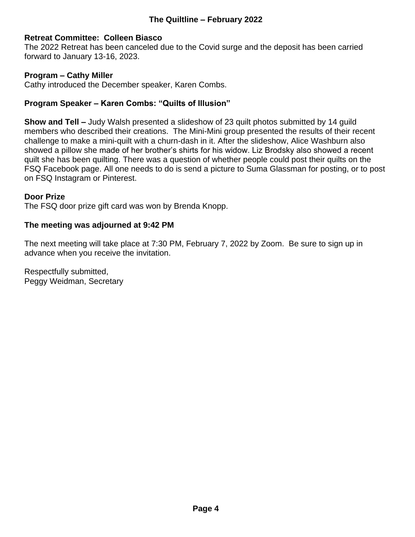#### **Retreat Committee: Colleen Biasco**

The 2022 Retreat has been canceled due to the Covid surge and the deposit has been carried forward to January 13-16, 2023.

#### **Program – Cathy Miller**

Cathy introduced the December speaker, Karen Combs.

#### **Program Speaker – Karen Combs: "Quilts of Illusion"**

**Show and Tell –** Judy Walsh presented a slideshow of 23 quilt photos submitted by 14 guild members who described their creations. The Mini-Mini group presented the results of their recent challenge to make a mini-quilt with a churn-dash in it. After the slideshow, Alice Washburn also showed a pillow she made of her brother's shirts for his widow. Liz Brodsky also showed a recent quilt she has been quilting. There was a question of whether people could post their quilts on the FSQ Facebook page. All one needs to do is send a picture to Suma Glassman for posting, or to post on FSQ Instagram or Pinterest.

#### **Door Prize**

The FSQ door prize gift card was won by Brenda Knopp.

#### **The meeting was adjourned at 9:42 PM**

The next meeting will take place at 7:30 PM, February 7, 2022 by Zoom. Be sure to sign up in advance when you receive the invitation.

Respectfully submitted, Peggy Weidman, Secretary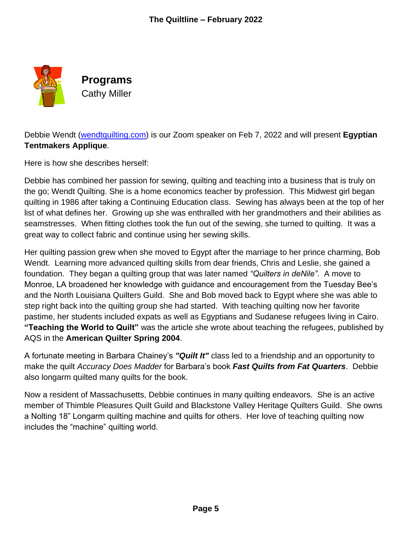

**Programs** Cathy Miller

Debbie Wendt [\(wendtquilting.com\)](http://www.wendtquilting.com/) is our Zoom speaker on Feb 7, 2022 and will present **Egyptian Tentmakers Applique**.

Here is how she describes herself:

Debbie has combined her passion for sewing, quilting and teaching into a business that is truly on the go; Wendt Quilting. She is a home economics teacher by profession. This Midwest girl began quilting in 1986 after taking a Continuing Education class. Sewing has always been at the top of her list of what defines her. Growing up she was enthralled with her grandmothers and their abilities as seamstresses. When fitting clothes took the fun out of the sewing, she turned to quilting. It was a great way to collect fabric and continue using her sewing skills.

Her quilting passion grew when she moved to Egypt after the marriage to her prince charming, Bob Wendt. Learning more advanced quilting skills from dear friends, Chris and Leslie, she gained a foundation. They began a quilting group that was later named *"Quilters in deNile"*. A move to Monroe, LA broadened her knowledge with guidance and encouragement from the Tuesday Bee's and the North Louisiana Quilters Guild. She and Bob moved back to Egypt where she was able to step right back into the quilting group she had started. With teaching quilting now her favorite pastime, her students included expats as well as Egyptians and Sudanese refugees living in Cairo. **"Teaching the World to Quilt"** was the article she wrote about teaching the refugees, published by AQS in the **American Quilter Spring 2004**.

A fortunate meeting in Barbara Chainey's *"Quilt It"* class led to a friendship and an opportunity to make the quilt *Accuracy Does Madder* for Barbara's book *Fast Quilts from Fat Quarters*. Debbie also longarm quilted many quilts for the book.

Now a resident of Massachusetts, Debbie continues in many quilting endeavors. She is an active member of Thimble Pleasures Quilt Guild and Blackstone Valley Heritage Quilters Guild. She owns a Nolting 18" Longarm quilting machine and quilts for others. Her love of teaching quilting now includes the "machine" quilting world.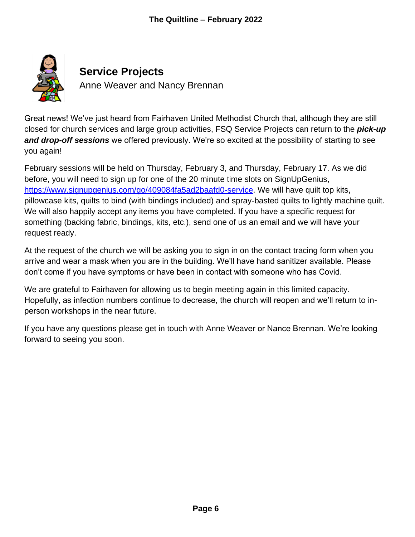

Great news! We've just heard from Fairhaven United Methodist Church that, although they are still closed for church services and large group activities, FSQ Service Projects can return to the *pick-up and drop-off sessions* we offered previously. We're so excited at the possibility of starting to see you again!

February sessions will be held on Thursday, February 3, and Thursday, February 17. As we did before, you will need to sign up for one of the 20 minute time slots on SignUpGenius, [https://www.signupgenius.com/go/409084fa5ad2baafd0-service.](https://www.signupgenius.com/go/409084fa5ad2baafd0-service) We will have quilt top kits, pillowcase kits, quilts to bind (with bindings included) and spray-basted quilts to lightly machine quilt. We will also happily accept any items you have completed. If you have a specific request for something (backing fabric, bindings, kits, etc.), send one of us an email and we will have your request ready.

At the request of the church we will be asking you to sign in on the contact tracing form when you arrive and wear a mask when you are in the building. We'll have hand sanitizer available. Please don't come if you have symptoms or have been in contact with someone who has Covid.

We are grateful to Fairhaven for allowing us to begin meeting again in this limited capacity. Hopefully, as infection numbers continue to decrease, the church will reopen and we'll return to inperson workshops in the near future.

If you have any questions please get in touch with Anne Weaver or Nance Brennan. We're looking forward to seeing you soon.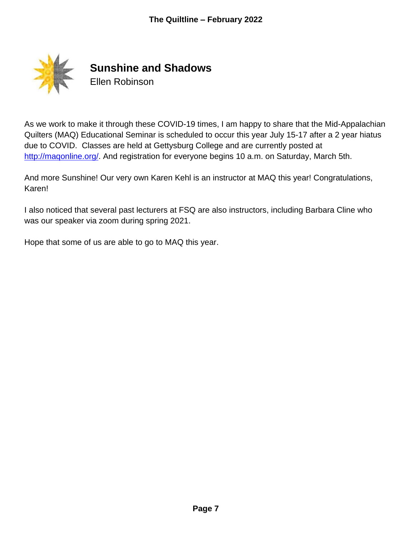

**Sunshine and Shadows** Ellen Robinson

As we work to make it through these COVID-19 times, I am happy to share that the Mid-Appalachian Quilters (MAQ) Educational Seminar is scheduled to occur this year July 15-17 after a 2 year hiatus due to COVID. Classes are held at Gettysburg College and are currently posted at [http://maqonline.org/.](http://maqonline.org/) And registration for everyone begins 10 a.m. on Saturday, March 5th.

And more Sunshine! Our very own Karen Kehl is an instructor at MAQ this year! Congratulations, Karen!

I also noticed that several past lecturers at FSQ are also instructors, including Barbara Cline who was our speaker via zoom during spring 2021.

Hope that some of us are able to go to MAQ this year.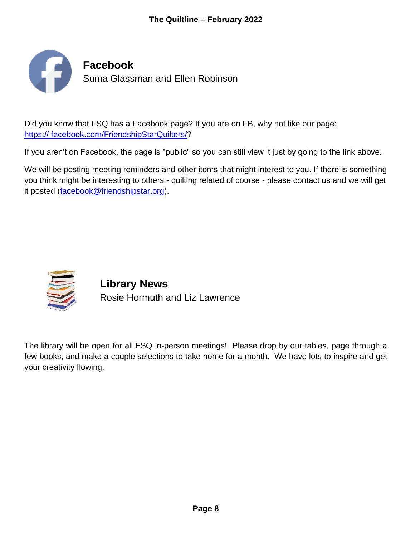

Did you know that FSQ has a Facebook page? If you are on FB, why not like our page: [https:// facebook.com/FriendshipStarQuilters/?](http://www.facebook.com/FriendshipStarQuilters/)

If you aren't on Facebook, the page is "public" so you can still view it just by going to the link above.

We will be posting meeting reminders and other items that might interest to you. If there is something you think might be interesting to others - quilting related of course - please contact us and we will get it posted [\(facebook@friendshipstar.org\)](mailto:facebook@friendshipstar.org).



**Library News** Rosie Hormuth and Liz Lawrence

The library will be open for all FSQ in-person meetings! Please drop by our tables, page through a few books, and make a couple selections to take home for a month. We have lots to inspire and get your creativity flowing.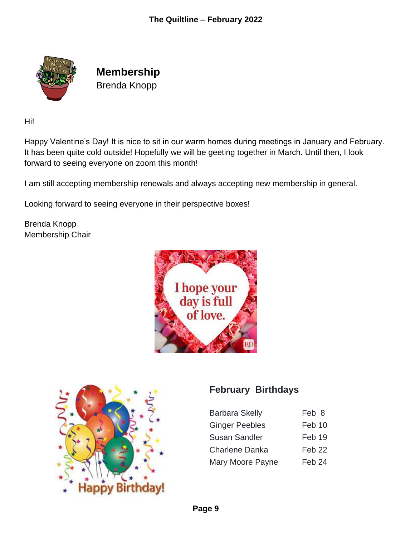

**Membership** Brenda Knopp

Hi!

Happy Valentine's Day! It is nice to sit in our warm homes during meetings in January and February. It has been quite cold outside! Hopefully we will be geeting together in March. Until then, I look forward to seeing everyone on zoom this month!

I am still accepting membership renewals and always accepting new membership in general.

Looking forward to seeing everyone in their perspective boxes!

Brenda Knopp Membership Chair





### **February Birthdays**

| <b>Barbara Skelly</b> | Feb 8             |
|-----------------------|-------------------|
| <b>Ginger Peebles</b> | Feb 10            |
| <b>Susan Sandler</b>  | Feb 19            |
| <b>Charlene Danka</b> | Feb <sub>22</sub> |
| Mary Moore Payne      | Feb 24            |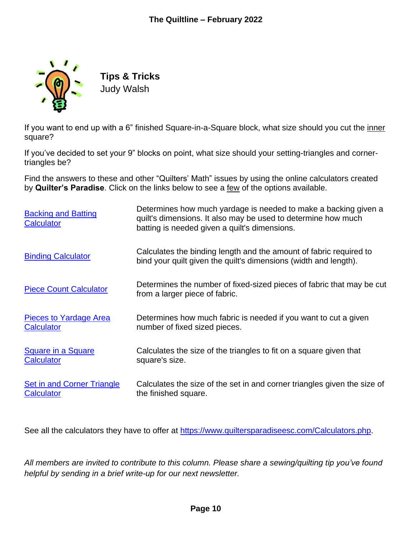

**Tips & Tricks** Judy Walsh

If you want to end up with a 6" finished Square-in-a-Square block, what size should you cut the inner square?

If you've decided to set your 9" blocks on point, what size should your setting-triangles and cornertriangles be?

Find the answers to these and other "Quilters' Math" issues by using the online calculators created by **Quilter's Paradise**. Click on the links below to see a few of the options available.

| <b>Backing and Batting</b><br>Calculator | Determines how much yardage is needed to make a backing given a<br>quilt's dimensions. It also may be used to determine how much<br>batting is needed given a quilt's dimensions. |
|------------------------------------------|-----------------------------------------------------------------------------------------------------------------------------------------------------------------------------------|
| <b>Binding Calculator</b>                | Calculates the binding length and the amount of fabric required to<br>bind your quilt given the quilt's dimensions (width and length).                                            |
| <b>Piece Count Calculator</b>            | Determines the number of fixed-sized pieces of fabric that may be cut<br>from a larger piece of fabric.                                                                           |
| <b>Pieces to Yardage Area</b>            | Determines how much fabric is needed if you want to cut a given                                                                                                                   |
| <b>Calculator</b>                        | number of fixed sized pieces.                                                                                                                                                     |
| <b>Square in a Square</b>                | Calculates the size of the triangles to fit on a square given that                                                                                                                |
| Calculator                               | square's size.                                                                                                                                                                    |
| <b>Set in and Corner Triangle</b>        | Calculates the size of the set in and corner triangles given the size of                                                                                                          |
| <b>Calculator</b>                        | the finished square.                                                                                                                                                              |

See all the calculators they have to offer at [https://www.quiltersparadiseesc.com/Calculators.php.](https://www.quiltersparadiseesc.com/Calculators.php)

*All members are invited to contribute to this column. Please share a sewing/quilting tip you've found helpful by sending in a brief write-up for our next newsletter.*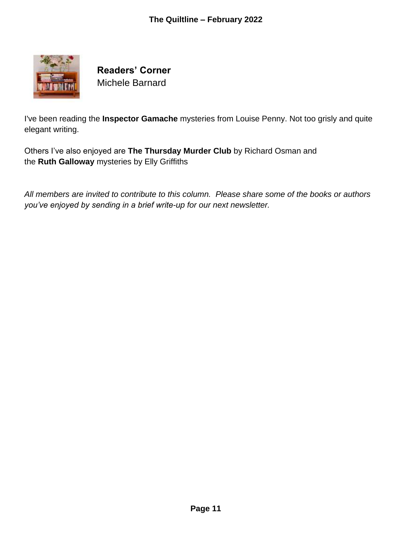

**Readers' Corner** Michele Barnard

I've been reading the **Inspector Gamache** mysteries from Louise Penny. Not too grisly and quite elegant writing.

Others I've also enjoyed are **The Thursday Murder Club** by Richard Osman and the **Ruth Galloway** mysteries by Elly Griffiths

*All members are invited to contribute to this column. Please share some of the books or authors you've enjoyed by sending in a brief write-up for our next newsletter.*